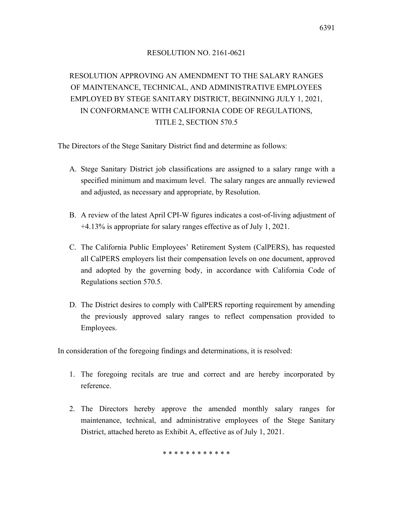#### RESOLUTION NO. 2161-0621

## RESOLUTION APPROVING AN AMENDMENT TO THE SALARY RANGES OF MAINTENANCE, TECHNICAL, AND ADMINISTRATIVE EMPLOYEES EMPLOYED BY STEGE SANITARY DISTRICT, BEGINNING JULY 1, 2021, IN CONFORMANCE WITH CALIFORNIA CODE OF REGULATIONS, TITLE 2, SECTION 570.5

The Directors of the Stege Sanitary District find and determine as follows:

- A. Stege Sanitary District job classifications are assigned to a salary range with a specified minimum and maximum level. The salary ranges are annually reviewed and adjusted, as necessary and appropriate, by Resolution.
- B. A review of the latest April CPI-W figures indicates a cost-of-living adjustment of +4.13% is appropriate for salary ranges effective as of July 1, 2021.
- C. The California Public Employees' Retirement System (CalPERS), has requested all CalPERS employers list their compensation levels on one document, approved and adopted by the governing body, in accordance with California Code of Regulations section 570.5.
- D. The District desires to comply with CalPERS reporting requirement by amending the previously approved salary ranges to reflect compensation provided to Employees.

In consideration of the foregoing findings and determinations, it is resolved:

- 1. The foregoing recitals are true and correct and are hereby incorporated by reference.
- 2. The Directors hereby approve the amended monthly salary ranges for maintenance, technical, and administrative employees of the Stege Sanitary District, attached hereto as Exhibit A, effective as of July 1, 2021.

\* \* \* \* \* \* \* \* \* \* \* \*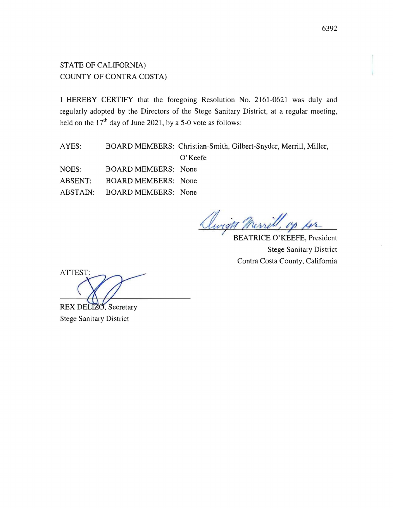### STATE OF CALIFORNIA) COUNTY OF CONTRA COSTA)

I HEREBY CERTIFY that the foregoing Resolution No. 2161-0621 was duly and regularly adopted by the Directors of the Stege Sanitary District, at a regular meeting, held on the  $17<sup>th</sup>$  day of June 2021, by a 5-0 vote as follows:

AYES: BOARD MEMBERS: Christian-Smith, Gilbert-Snyder, Merrill, Miller,

O'Keefe

| NOES:    | <b>BOARD MEMBERS:</b> None |  |
|----------|----------------------------|--|
| ABSENT:  | <b>BOARD MEMBERS:</b> None |  |
| ABSTAIN: | <b>BOARD MEMBERS:</b> None |  |

alwight Mesrill, op for

BEATRICE 0' KEEFE, President Stege Sanitary District Contra Costa County, California

ATTEST:

REX DELIZO, Secretary Stege Sanitary District